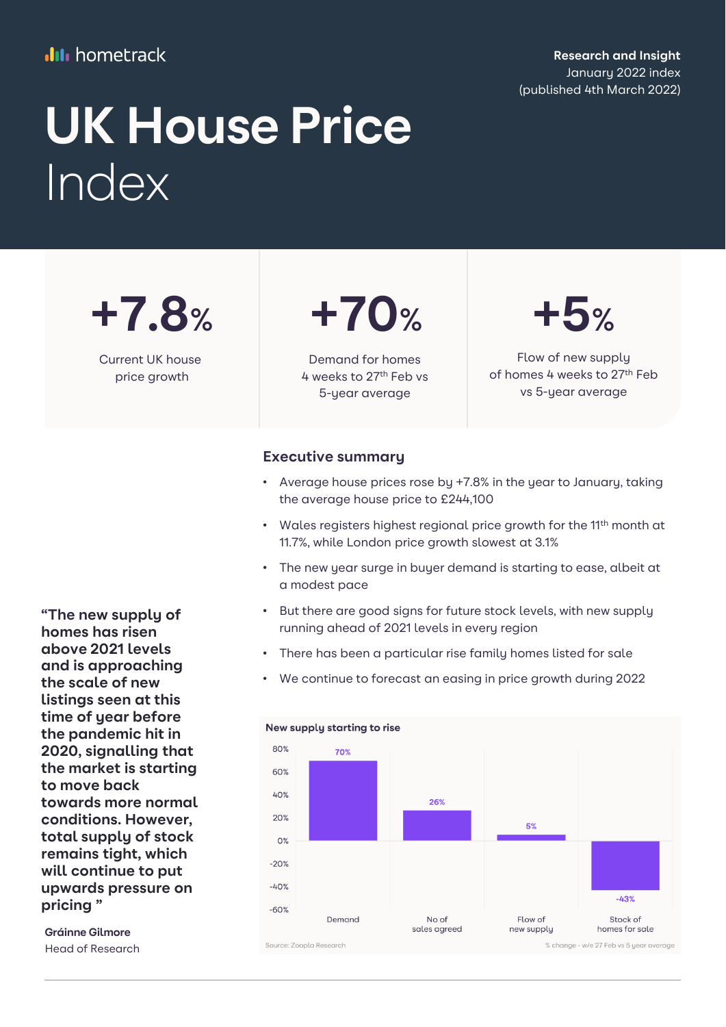## **III** hometrack

**Research and Insight** January 2022 index (published 4th March 2022)

# **UK House Price** Index

**+7.8%**

Current UK house price growth



Demand for homes 4 weeks to 27th Feb vs 5-year average

## **+5%**

Flow of new supply of homes 4 weeks to 27<sup>th</sup> Feb vs 5-year average

### **Executive summary**

- Average house prices rose by +7.8% in the year to January, taking the average house price to £244,100
- Wales registers highest regional price growth for the 11<sup>th</sup> month at 11.7%, while London price growth slowest at 3.1%
- The new year surge in buyer demand is starting to ease, albeit at a modest pace
- But there are good signs for future stock levels, with new supply running ahead of 2021 levels in every region
- There has been a particular rise family homes listed for sale
- We continue to forecast an easing in price growth during 2022

New supply starting to rise



**"The new supply of homes has risen above 2021 levels and is approaching the scale of new listings seen at this time of year before the pandemic hit in 2020, signalling that the market is starting to move back towards more normal conditions. However, total supply of stock remains tight, which will continue to put upwards pressure on pricing "**

**Gráinne Gilmore**  Head of Research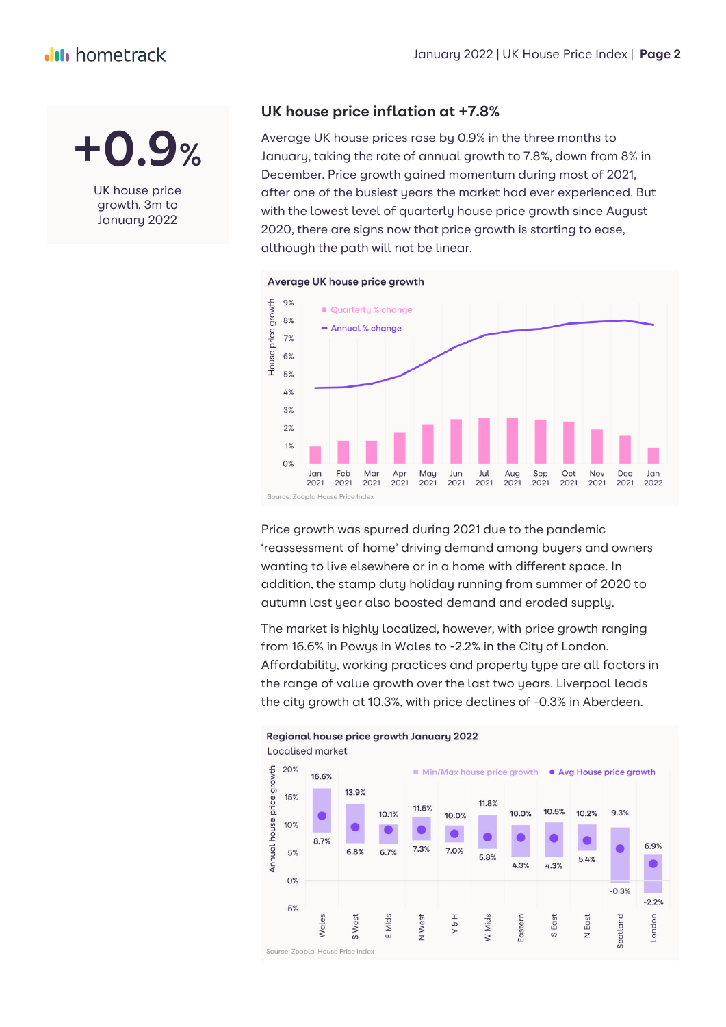**+0.9%**

UK house price growth, 3m to January 2022

### **UK house price inflation at +7.8%**

Average UK house prices rose by 0.9% in the three months to January, taking the rate of annual growth to 7.8%, down from 8% in December. Price growth gained momentum during most of 2021, after one of the busiest years the market had ever experienced. But with the lowest level of quarterly house price growth since August 2020, there are signs now that price growth is starting to ease, although the path will not be linear.



Price growth was spurred during 2021 due to the pandemic 'reassessment of home' driving demand among buyers and owners wanting to live elsewhere or in a home with different space. In addition, the stamp duty holiday running from summer of 2020 to autumn last year also boosted demand and eroded supply.

The market is highly localized, however, with price growth ranging from 16.6% in Powys in Wales to -2.2% in the City of London. Affordability, working practices and property type are all factors in the range of value growth over the last two years. Liverpool leads the city growth at 10.3%, with price declines of -0.3% in Aberdeen.

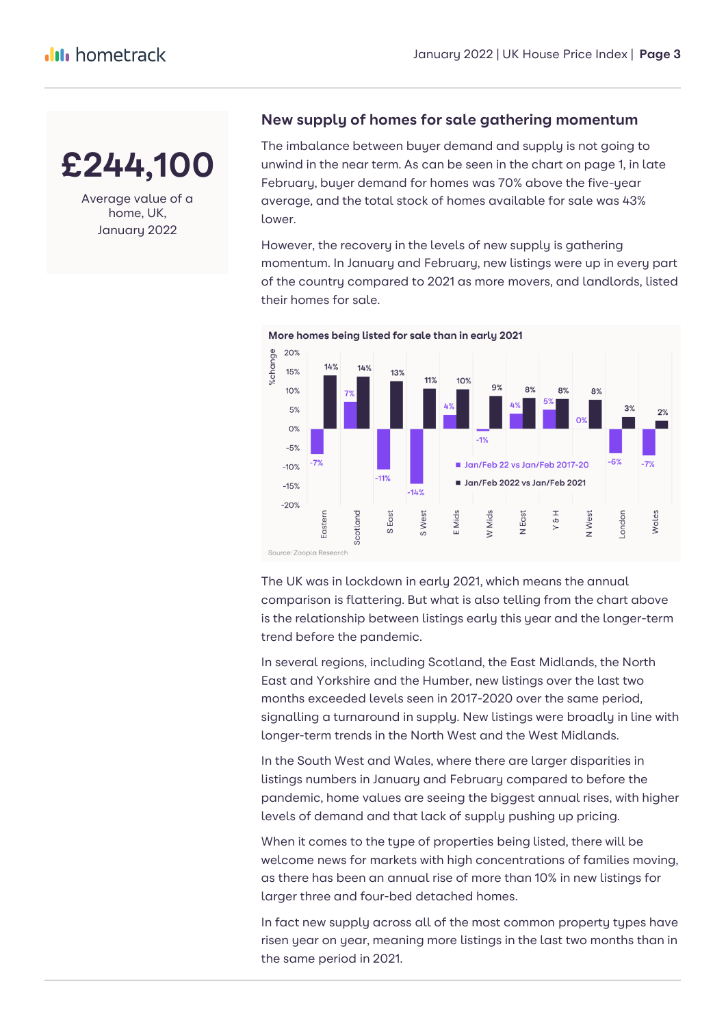

Average value of a home, UK, January 2022

## **New supply of homes for sale gathering momentum**

The imbalance between buyer demand and supply is not going to unwind in the near term. As can be seen in the chart on page 1, in late February, buyer demand for homes was 70% above the five-year average, and the total stock of homes available for sale was 43% lower.

However, the recovery in the levels of new supply is gathering momentum. In January and February, new listings were up in every part of the country compared to 2021 as more movers, and landlords, listed their homes for sale.



More homes being listed for sale than in early 2021

The UK was in lockdown in early 2021, which means the annual comparison is flattering. But what is also telling from the chart above is the relationship between listings early this year and the longer-term trend before the pandemic.

In several regions, including Scotland, the East Midlands, the North East and Yorkshire and the Humber, new listings over the last two months exceeded levels seen in 2017-2020 over the same period, signalling a turnaround in supply. New listings were broadly in line with longer-term trends in the North West and the West Midlands.

In the South West and Wales, where there are larger disparities in listings numbers in January and February compared to before the pandemic, home values are seeing the biggest annual rises, with higher levels of demand and that lack of supply pushing up pricing.

When it comes to the type of properties being listed, there will be welcome news for markets with high concentrations of families moving, as there has been an annual rise of more than 10% in new listings for larger three and four-bed detached homes.

In fact new supply across all of the most common property types have risen year on year, meaning more listings in the last two months than in the same period in 2021.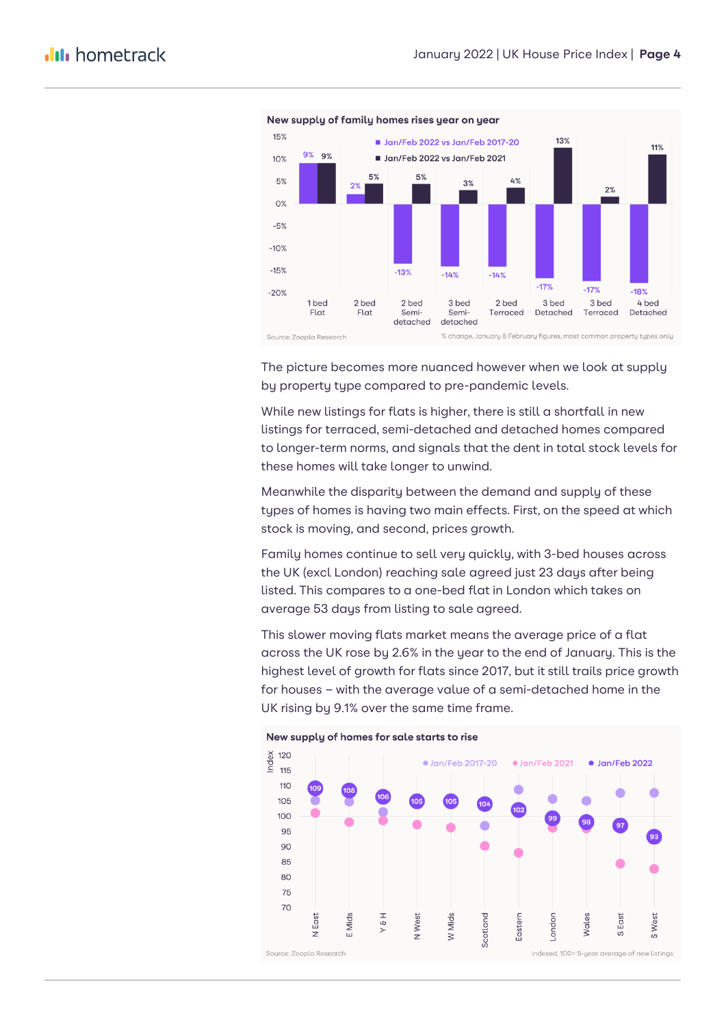

#### New supply of family homes rises year on year

The picture becomes more nuanced however when we look at supply by property type compared to pre-pandemic levels.

While new listings for flats is higher, there is still a shortfall in new listings for terraced, semi-detached and detached homes compared to longer-term norms, and signals that the dent in total stock levels for these homes will take longer to unwind.

Meanwhile the disparity between the demand and supply of these types of homes is having two main effects. First, on the speed at which stock is moving, and second, prices growth.

Family homes continue to sell very quickly, with 3-bed houses across the UK (excl London) reaching sale agreed just 23 days after being listed. This compares to a one-bed flat in London which takes on average 53 days from listing to sale agreed.

This slower moving flats market means the average price of a flat across the UK rose by 2.6% in the year to the end of January. This is the highest level of growth for flats since 2017, but it still trails price growth for houses – with the average value of a semi-detached home in the UK rising by 9.1% over the same time frame.



New supply of homes for sale starts to rise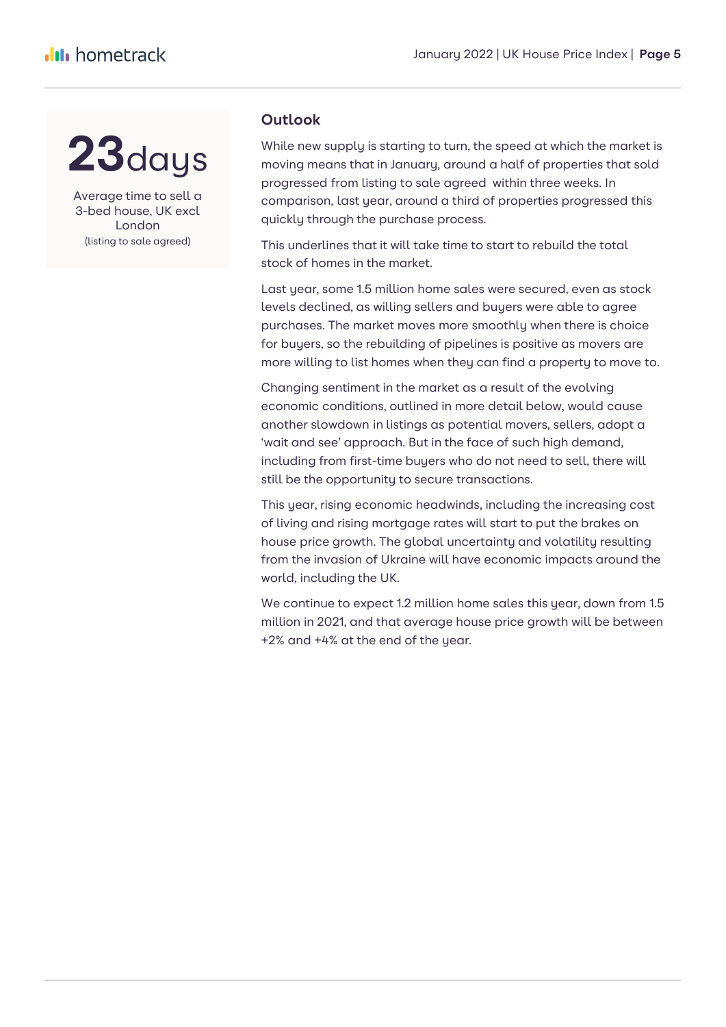## **23**days

Average time to sell a 3-bed house, UK excl London (listing to sale agreed)

## **Outlook**

While new supply is starting to turn, the speed at which the market is moving means that in January, around a half of properties that sold progressed from listing to sale agreed within three weeks. In comparison, last year, around a third of properties progressed this quickly through the purchase process.

This underlines that it will take time to start to rebuild the total stock of homes in the market.

Last year, some 1.5 million home sales were secured, even as stock levels declined, as willing sellers and buyers were able to agree purchases. The market moves more smoothly when there is choice for buyers, so the rebuilding of pipelines is positive as movers are more willing to list homes when they can find a property to move to.

Changing sentiment in the market as a result of the evolving economic conditions, outlined in more detail below, would cause another slowdown in listings as potential movers, sellers, adopt a 'wait and see' approach. But in the face of such high demand, including from first-time buyers who do not need to sell, there will still be the opportunity to secure transactions.

This year, rising economic headwinds, including the increasing cost of living and rising mortgage rates will start to put the brakes on house price growth. The global uncertainty and volatility resulting from the invasion of Ukraine will have economic impacts around the world, including the UK.

We continue to expect 1.2 million home sales this year, down from 1.5 million in 2021, and that average house price growth will be between +2% and +4% at the end of the year.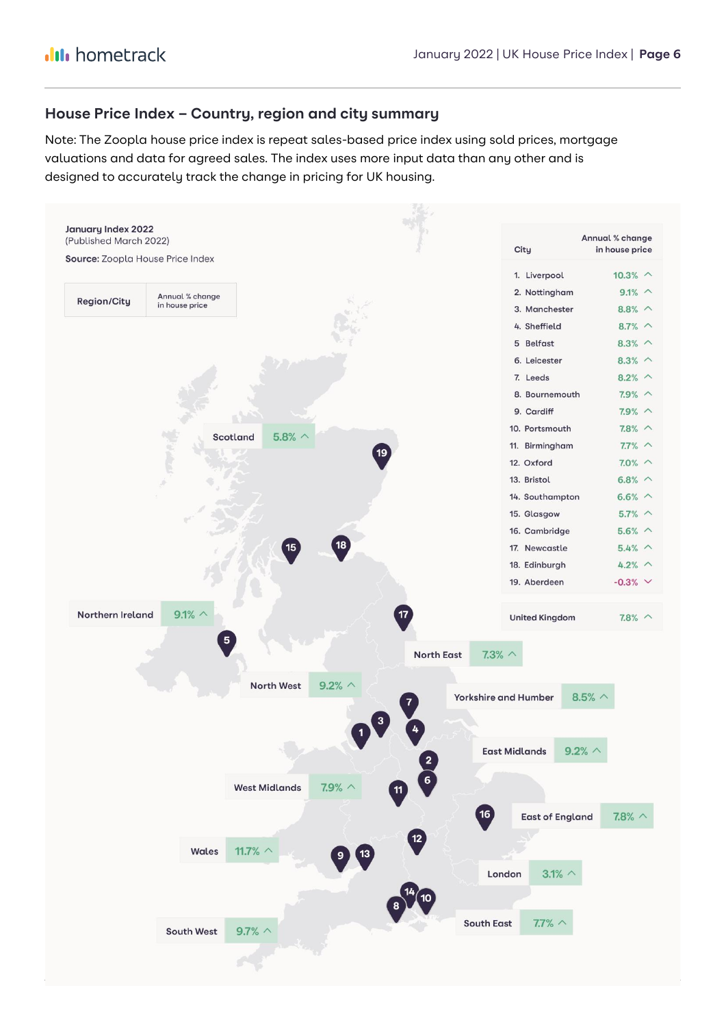### **House Price Index – Country, region and city summary**

Note: The Zoopla house price index is repeat sales-based price index using sold prices, mortgage valuations and data for agreed sales. The index uses more input data than any other and is designed to accurately track the change in pricing for UK housing.